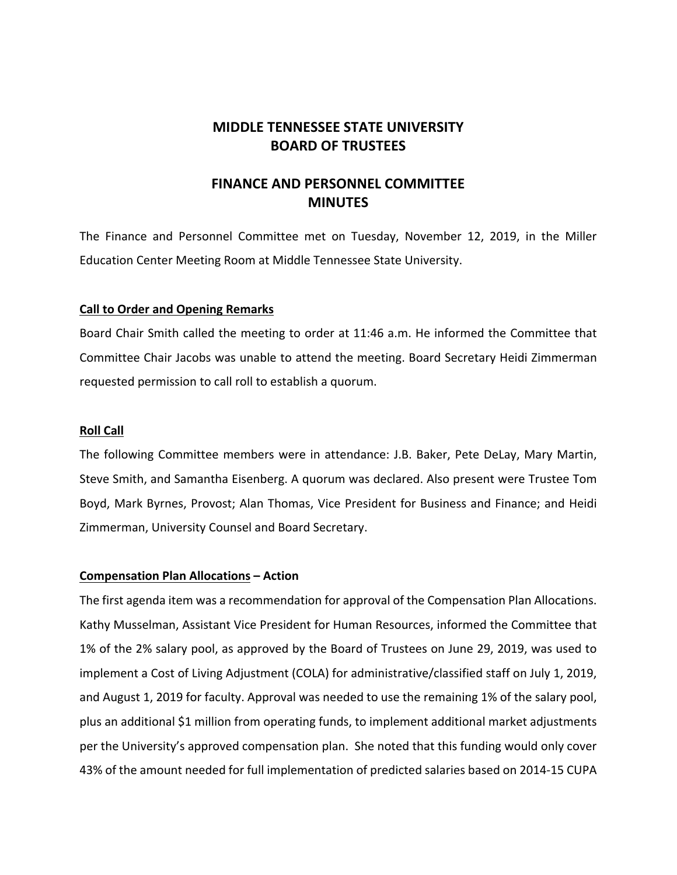# **MIDDLE TENNESSEE STATE UNIVERSITY BOARD OF TRUSTEES**

# **FINANCE AND PERSONNEL COMMITTEE MINUTES**

The Finance and Personnel Committee met on Tuesday, November 12, 2019, in the Miller Education Center Meeting Room at Middle Tennessee State University.

### **Call to Order and Opening Remarks**

Board Chair Smith called the meeting to order at 11:46 a.m. He informed the Committee that Committee Chair Jacobs was unable to attend the meeting. Board Secretary Heidi Zimmerman requested permission to call roll to establish a quorum.

#### **Roll Call**

The following Committee members were in attendance: J.B. Baker, Pete DeLay, Mary Martin, Steve Smith, and Samantha Eisenberg. A quorum was declared. Also present were Trustee Tom Boyd, Mark Byrnes, Provost; Alan Thomas, Vice President for Business and Finance; and Heidi Zimmerman, University Counsel and Board Secretary.

#### **Compensation Plan Allocations – Action**

The first agenda item was a recommendation for approval of the Compensation Plan Allocations. Kathy Musselman, Assistant Vice President for Human Resources, informed the Committee that 1% of the 2% salary pool, as approved by the Board of Trustees on June 29, 2019, was used to implement a Cost of Living Adjustment (COLA) for administrative/classified staff on July 1, 2019, and August 1, 2019 for faculty. Approval was needed to use the remaining 1% of the salary pool, plus an additional \$1 million from operating funds, to implement additional market adjustments per the University's approved compensation plan. She noted that this funding would only cover 43% of the amount needed for full implementation of predicted salaries based on 2014‐15 CUPA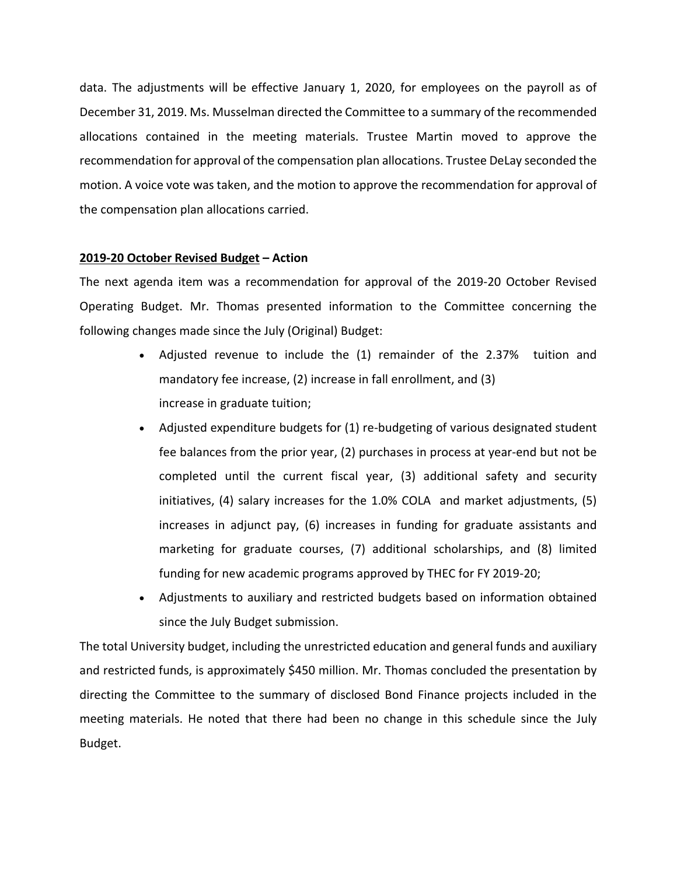data. The adjustments will be effective January 1, 2020, for employees on the payroll as of December 31, 2019. Ms. Musselman directed the Committee to a summary of the recommended allocations contained in the meeting materials. Trustee Martin moved to approve the recommendation for approval of the compensation plan allocations. Trustee DeLay seconded the motion. A voice vote was taken, and the motion to approve the recommendation for approval of the compensation plan allocations carried.

### **2019‐20 October Revised Budget – Action**

The next agenda item was a recommendation for approval of the 2019‐20 October Revised Operating Budget. Mr. Thomas presented information to the Committee concerning the following changes made since the July (Original) Budget:

- Adjusted revenue to include the (1) remainder of the 2.37% tuition and mandatory fee increase, (2) increase in fall enrollment, and (3) increase in graduate tuition;
- Adjusted expenditure budgets for (1) re-budgeting of various designated student fee balances from the prior year, (2) purchases in process at year-end but not be completed until the current fiscal year, (3) additional safety and security initiatives, (4) salary increases for the 1.0% COLA and market adjustments, (5) increases in adjunct pay, (6) increases in funding for graduate assistants and marketing for graduate courses, (7) additional scholarships, and (8) limited funding for new academic programs approved by THEC for FY 2019‐20;
- Adjustments to auxiliary and restricted budgets based on information obtained since the July Budget submission.

The total University budget, including the unrestricted education and general funds and auxiliary and restricted funds, is approximately \$450 million. Mr. Thomas concluded the presentation by directing the Committee to the summary of disclosed Bond Finance projects included in the meeting materials. He noted that there had been no change in this schedule since the July Budget.